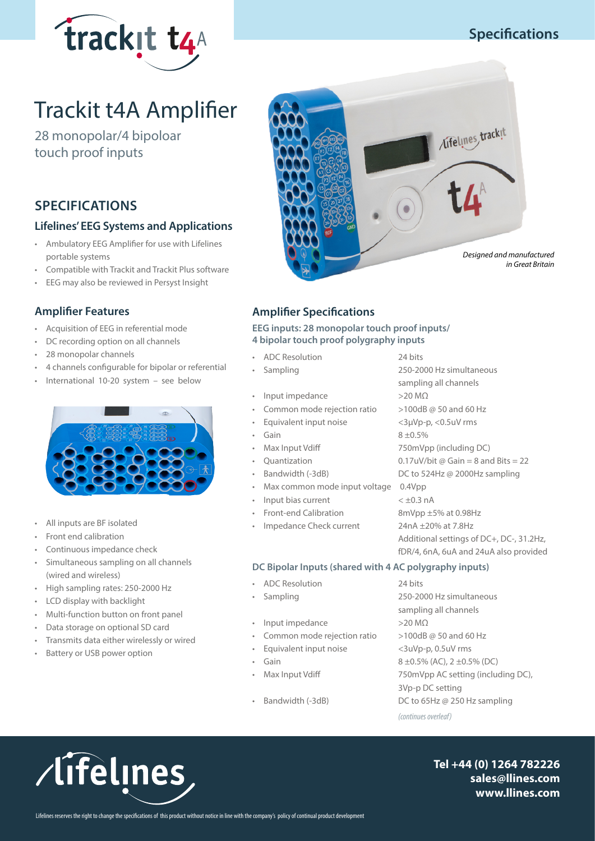

## **Specifications**

# Trackit t4A Amplifier

28 monopolar/4 bipoloar touch proof inputs

## **SPECIFICATIONS**

#### **Lifelines' EEG Systems and Applications**

- Ambulatory EEG Amplifier for use with Lifelines portable systems
- Compatible with Trackit and Trackit Plus software
- EEG may also be reviewed in Persyst Insight

#### **Amplifier Features**

- Acquisition of EEG in referential mode
- DC recording option on all channels
- 28 monopolar channels
- 4 channels configurable for bipolar or referential
- International 10-20 system see below



- All inputs are BF isolated
- Front end calibration
- Continuous impedance check
- Simultaneous sampling on all channels (wired and wireless)
- High sampling rates: 250-2000 Hz
- LCD display with backlight
- Multi-function button on front panel
- Data storage on optional SD card
- Transmits data either wirelessly or wired

/lifelines

• Battery or USB power option



### **Amplifier Specifications**

**EEG inputs: 28 monopolar touch proof inputs/ 4 bipolar touch proof polygraphy inputs**

- ADC Resolution 24 bits
- 
- Input impedance >20 MΩ
- Common mode rejection ratio >100dB @ 50 and 60 Hz
- 
- 
- 
- 
- 
- Max common mode input voltage 0.4Vpp
- Input bias current < ±0.3 nA
- 
- Impedance Check current 24nA ±20% at 7.8Hz

**DC Bipolar Inputs (shared with 4 AC polygraphy inputs)**

- ADC Resolution 24 bits
- 
- Input impedance >20 MΩ
- Common mode rejection ratio >100dB @ 50 and 60 Hz
- Equivalent input noise <3uVp-p, 0.5uV rms
- 
- 
- 

• Sampling 250-2000 Hz simultaneous sampling all channels Equivalent input noise <3µVp-p, <0.5uV rms Gain  $8 \pm 0.5\%$ • Max Input Vdiff 750mVpp (including DC) Quantization 0.17uV/bit  $\textcircled{a}$  Gain = 8 and Bits = 22 • Bandwidth (-3dB) DC to 524Hz @ 2000Hz sampling • Front-end Calibration 8mVpp ±5% at 0.98Hz Additional settings of DC+, DC-, 31.2Hz, fDR/4, 6nA, 6uA and 24uA also provided

• Sampling 250-2000 Hz simultaneous sampling all channels Gain  $8 \pm 0.5\%$  (AC),  $2 \pm 0.5\%$  (DC) Max Input Vdiff  $750mVpp$  AC setting (including DC), 3Vp-p DC setting Bandwidth (-3dB) DC to 65Hz @ 250 Hz sampling *(continues overleaf)*

> **Tel +44 (0) 1264 782226 sales@llines.com www.llines.com**